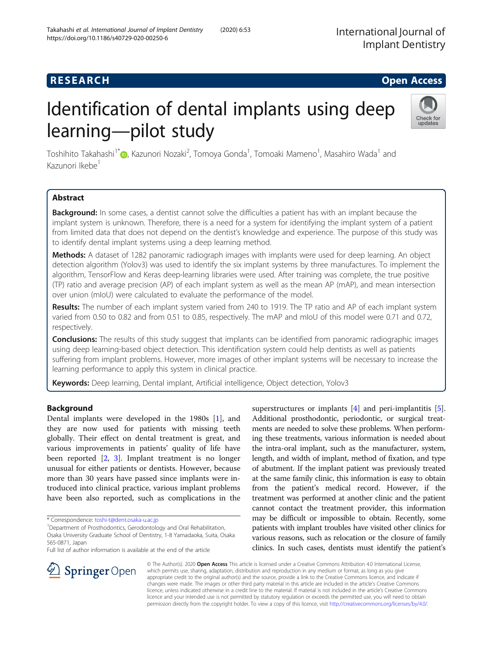# **RESEARCH CHE Open Access**

# Identification of dental implants using deep learning—pilot study



Toshihito Takahashi<sup>1[\\*](http://orcid.org/0000-0001-9572-6434)</sup>�, Kazunori Nozaki<sup>2</sup>, Tomoya Gonda<sup>1</sup>, Tomoaki Mameno<sup>1</sup>, Masahiro Wada<sup>1</sup> and Kazunori Ikebe<sup>1</sup>

# Abstract

Background: In some cases, a dentist cannot solve the difficulties a patient has with an implant because the implant system is unknown. Therefore, there is a need for a system for identifying the implant system of a patient from limited data that does not depend on the dentist's knowledge and experience. The purpose of this study was to identify dental implant systems using a deep learning method.

Methods: A dataset of 1282 panoramic radiograph images with implants were used for deep learning. An object detection algorithm (Yolov3) was used to identify the six implant systems by three manufactures. To implement the algorithm, TensorFlow and Keras deep-learning libraries were used. After training was complete, the true positive (TP) ratio and average precision (AP) of each implant system as well as the mean AP (mAP), and mean intersection over union (mIoU) were calculated to evaluate the performance of the model.

Results: The number of each implant system varied from 240 to 1919. The TP ratio and AP of each implant system varied from 0.50 to 0.82 and from 0.51 to 0.85, respectively. The mAP and mIoU of this model were 0.71 and 0.72, respectively.

Conclusions: The results of this study suggest that implants can be identified from panoramic radiographic images using deep learning-based object detection. This identification system could help dentists as well as patients suffering from implant problems. However, more images of other implant systems will be necessary to increase the learning performance to apply this system in clinical practice.

Keywords: Deep learning, Dental implant, Artificial intelligence, Object detection, Yolov3

# Background

Dental implants were developed in the 1980s [[1](#page-5-0)], and they are now used for patients with missing teeth globally. Their effect on dental treatment is great, and various improvements in patients' quality of life have been reported [\[2](#page-5-0), [3\]](#page-5-0). Implant treatment is no longer unusual for either patients or dentists. However, because more than 30 years have passed since implants were introduced into clinical practice, various implant problems have been also reported, such as complications in the

superstructures or implants [\[4\]](#page-5-0) and peri-implantitis [\[5](#page-5-0)]. Additional prosthodontic, periodontic, or surgical treatments are needed to solve these problems. When performing these treatments, various information is needed about the intra-oral implant, such as the manufacturer, system, length, and width of implant, method of fixation, and type of abutment. If the implant patient was previously treated at the same family clinic, this information is easy to obtain from the patient's medical record. However, if the treatment was performed at another clinic and the patient cannot contact the treatment provider, this information may be difficult or impossible to obtain. Recently, some patients with implant troubles have visited other clinics for various reasons, such as relocation or the closure of family clinics. In such cases, dentists must identify the patient's



© The Author(s). 2020 Open Access This article is licensed under a Creative Commons Attribution 4.0 International License, which permits use, sharing, adaptation, distribution and reproduction in any medium or format, as long as you give appropriate credit to the original author(s) and the source, provide a link to the Creative Commons licence, and indicate if changes were made. The images or other third party material in this article are included in the article's Creative Commons licence, unless indicated otherwise in a credit line to the material. If material is not included in the article's Creative Commons licence and your intended use is not permitted by statutory regulation or exceeds the permitted use, you will need to obtain permission directly from the copyright holder. To view a copy of this licence, visit <http://creativecommons.org/licenses/by/4.0/>.

<sup>\*</sup> Correspondence: [toshi-t@dent.osaka-u.ac.jp](mailto:toshi-t@dent.osaka-u.ac.jp) <sup>1</sup>

<sup>&</sup>lt;sup>1</sup>Department of Prosthodontics, Gerodontology and Oral Rehabilitation, Osaka University Graduate School of Dentistry, 1-8 Yamadaoka, Suita, Osaka 565-0871, Japan

Full list of author information is available at the end of the article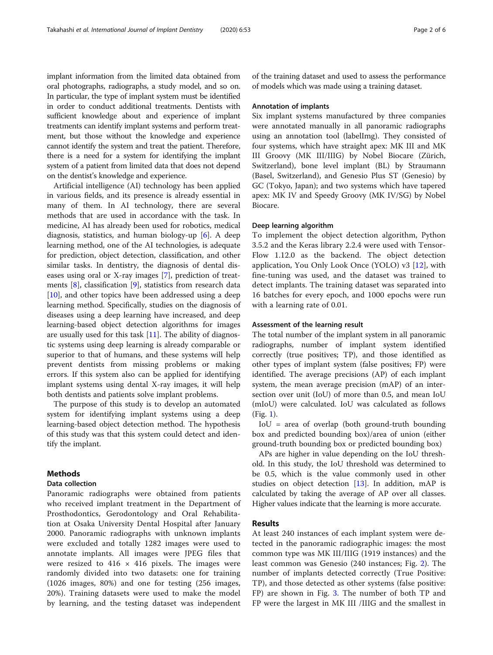implant information from the limited data obtained from oral photographs, radiographs, a study model, and so on. In particular, the type of implant system must be identified in order to conduct additional treatments. Dentists with sufficient knowledge about and experience of implant treatments can identify implant systems and perform treatment, but those without the knowledge and experience cannot identify the system and treat the patient. Therefore, there is a need for a system for identifying the implant system of a patient from limited data that does not depend on the dentist's knowledge and experience.

Artificial intelligence (AI) technology has been applied in various fields, and its presence is already essential in many of them. In AI technology, there are several methods that are used in accordance with the task. In medicine, AI has already been used for robotics, medical diagnosis, statistics, and human biology-up [\[6](#page-5-0)]. A deep learning method, one of the AI technologies, is adequate for prediction, object detection, classification, and other similar tasks. In dentistry, the diagnosis of dental diseases using oral or X-ray images [\[7\]](#page-5-0), prediction of treatments [\[8](#page-5-0)], classification [[9](#page-5-0)], statistics from research data  $[10]$  $[10]$ , and other topics have been addressed using a deep learning method. Specifically, studies on the diagnosis of diseases using a deep learning have increased, and deep learning-based object detection algorithms for images are usually used for this task [[11\]](#page-5-0). The ability of diagnostic systems using deep learning is already comparable or superior to that of humans, and these systems will help prevent dentists from missing problems or making errors. If this system also can be applied for identifying implant systems using dental X-ray images, it will help both dentists and patients solve implant problems.

The purpose of this study is to develop an automated system for identifying implant systems using a deep learning-based object detection method. The hypothesis of this study was that this system could detect and identify the implant.

#### Methods

#### Data collection

Panoramic radiographs were obtained from patients who received implant treatment in the Department of Prosthodontics, Gerodontology and Oral Rehabilitation at Osaka University Dental Hospital after January 2000. Panoramic radiographs with unknown implants were excluded and totally 1282 images were used to annotate implants. All images were JPEG files that were resized to  $416 \times 416$  pixels. The images were randomly divided into two datasets: one for training (1026 images, 80%) and one for testing (256 images, 20%). Training datasets were used to make the model by learning, and the testing dataset was independent of the training dataset and used to assess the performance of models which was made using a training dataset.

#### Annotation of implants

Six implant systems manufactured by three companies were annotated manually in all panoramic radiographs using an annotation tool (labelImg). They consisted of four systems, which have straight apex: MK III and MK III Groovy (MK III/IIIG) by Nobel Biocare (Zürich, Switzerland), bone level implant (BL) by Straumann (Basel, Switzerland), and Genesio Plus ST (Genesio) by GC (Tokyo, Japan); and two systems which have tapered apex: MK IV and Speedy Groovy (MK IV/SG) by Nobel Biocare.

#### Deep learning algorithm

To implement the object detection algorithm, Python 3.5.2 and the Keras library 2.2.4 were used with Tensor-Flow 1.12.0 as the backend. The object detection application, You Only Look Once (YOLO) v3 [[12\]](#page-5-0), with fine-tuning was used, and the dataset was trained to detect implants. The training dataset was separated into 16 batches for every epoch, and 1000 epochs were run with a learning rate of 0.01.

#### Assessment of the learning result

The total number of the implant system in all panoramic radiographs, number of implant system identified correctly (true positives; TP), and those identified as other types of implant system (false positives; FP) were identified. The average precisions (AP) of each implant system, the mean average precision (mAP) of an intersection over unit (IoU) of more than 0.5, and mean IoU (mIoU) were calculated. IoU was calculated as follows (Fig. [1](#page-2-0)).

IoU = area of overlap (both ground-truth bounding box and predicted bounding box)/area of union (either ground-truth bounding box or predicted bounding box)

APs are higher in value depending on the IoU threshold. In this study, the IoU threshold was determined to be 0.5, which is the value commonly used in other studies on object detection [[13](#page-5-0)]. In addition, mAP is calculated by taking the average of AP over all classes. Higher values indicate that the learning is more accurate.

# Results

At least 240 instances of each implant system were detected in the panoramic radiographic images: the most common type was MK III/IIIG (1919 instances) and the least common was Genesio (240 instances; Fig. [2](#page-2-0)). The number of implants detected correctly (True Positive: TP), and those detected as other systems (false positive: FP) are shown in Fig. [3](#page-3-0). The number of both TP and FP were the largest in MK III /IIIG and the smallest in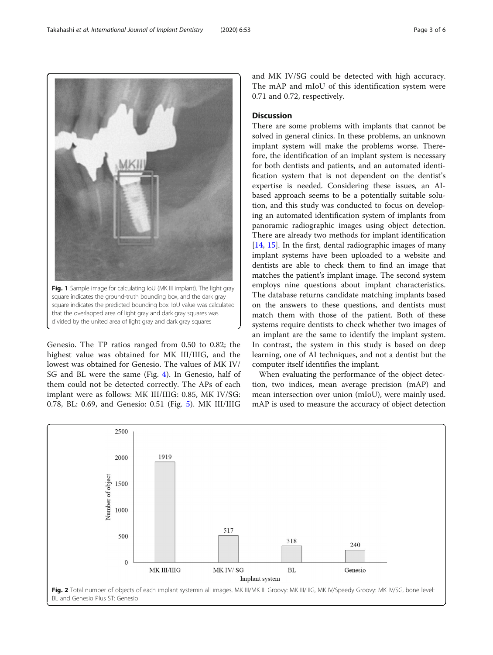square indicates the ground-truth bounding box, and the dark gray square indicates the predicted bounding box. IoU value was calculated that the overlapped area of light gray and dark gray squares was divided by the united area of light gray and dark gray squares

Genesio. The TP ratios ranged from 0.50 to 0.82; the highest value was obtained for MK III/IIIG, and the lowest was obtained for Genesio. The values of MK IV/ SG and BL were the same (Fig. [4\)](#page-3-0). In Genesio, half of them could not be detected correctly. The APs of each implant were as follows: MK III/IIIG: 0.85, MK IV/SG: 0.78, BL: 0.69, and Genesio: 0.51 (Fig. [5\)](#page-4-0). MK III/IIIG and MK IV/SG could be detected with high accuracy. The mAP and mIoU of this identification system were 0.71 and 0.72, respectively.

#### **Discussion**

There are some problems with implants that cannot be solved in general clinics. In these problems, an unknown implant system will make the problems worse. Therefore, the identification of an implant system is necessary for both dentists and patients, and an automated identification system that is not dependent on the dentist's expertise is needed. Considering these issues, an AIbased approach seems to be a potentially suitable solution, and this study was conducted to focus on developing an automated identification system of implants from panoramic radiographic images using object detection. There are already two methods for implant identification [[14,](#page-5-0) [15\]](#page-5-0). In the first, dental radiographic images of many implant systems have been uploaded to a website and dentists are able to check them to find an image that matches the patient's implant image. The second system employs nine questions about implant characteristics. The database returns candidate matching implants based on the answers to these questions, and dentists must match them with those of the patient. Both of these systems require dentists to check whether two images of an implant are the same to identify the implant system. In contrast, the system in this study is based on deep learning, one of AI techniques, and not a dentist but the computer itself identifies the implant.

When evaluating the performance of the object detection, two indices, mean average precision (mAP) and mean intersection over union (mIoU), were mainly used. mAP is used to measure the accuracy of object detection



<span id="page-2-0"></span>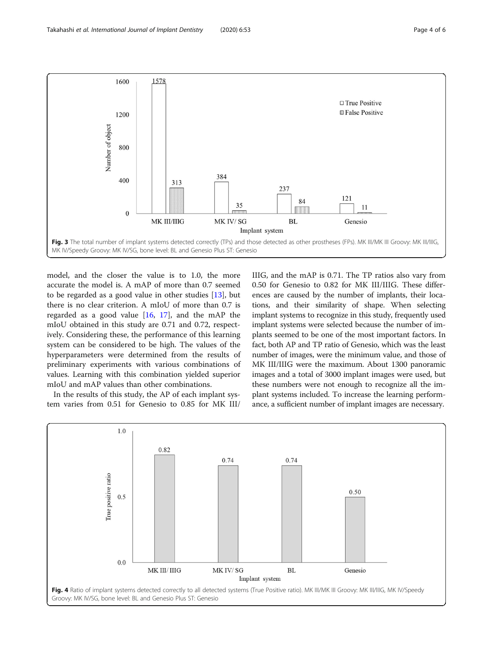<span id="page-3-0"></span>

model, and the closer the value is to 1.0, the more accurate the model is. A mAP of more than 0.7 seemed to be regarded as a good value in other studies [\[13](#page-5-0)], but there is no clear criterion. A mIoU of more than 0.7 is regarded as a good value  $[16, 17]$  $[16, 17]$  $[16, 17]$  $[16, 17]$ , and the mAP the mIoU obtained in this study are 0.71 and 0.72, respectively. Considering these, the performance of this learning system can be considered to be high. The values of the hyperparameters were determined from the results of preliminary experiments with various combinations of values. Learning with this combination yielded superior mIoU and mAP values than other combinations.

In the results of this study, the AP of each implant system varies from 0.51 for Genesio to 0.85 for MK III/ IIIG, and the mAP is 0.71. The TP ratios also vary from 0.50 for Genesio to 0.82 for MK III/IIIG. These differences are caused by the number of implants, their locations, and their similarity of shape. When selecting implant systems to recognize in this study, frequently used implant systems were selected because the number of implants seemed to be one of the most important factors. In fact, both AP and TP ratio of Genesio, which was the least number of images, were the minimum value, and those of MK III/IIIG were the maximum. About 1300 panoramic images and a total of 3000 implant images were used, but these numbers were not enough to recognize all the implant systems included. To increase the learning performance, a sufficient number of implant images are necessary.

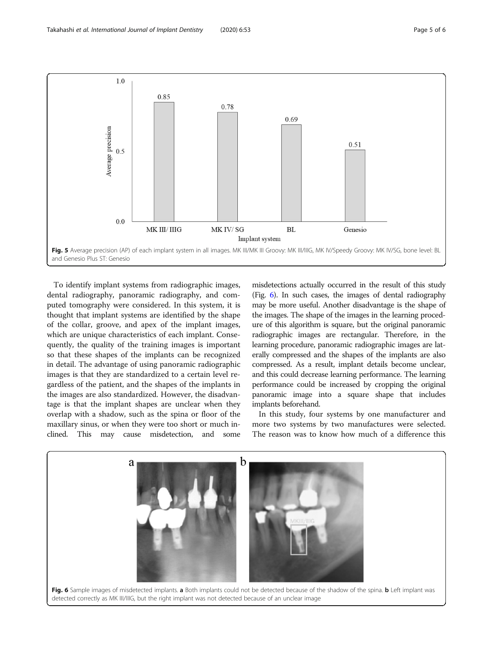<span id="page-4-0"></span>

To identify implant systems from radiographic images, dental radiography, panoramic radiography, and computed tomography were considered. In this system, it is thought that implant systems are identified by the shape of the collar, groove, and apex of the implant images, which are unique characteristics of each implant. Consequently, the quality of the training images is important so that these shapes of the implants can be recognized in detail. The advantage of using panoramic radiographic images is that they are standardized to a certain level regardless of the patient, and the shapes of the implants in the images are also standardized. However, the disadvantage is that the implant shapes are unclear when they overlap with a shadow, such as the spina or floor of the maxillary sinus, or when they were too short or much inclined. This may cause misdetection, and some

misdetections actually occurred in the result of this study (Fig. 6). In such cases, the images of dental radiography may be more useful. Another disadvantage is the shape of the images. The shape of the images in the learning procedure of this algorithm is square, but the original panoramic radiographic images are rectangular. Therefore, in the learning procedure, panoramic radiographic images are laterally compressed and the shapes of the implants are also compressed. As a result, implant details become unclear, and this could decrease learning performance. The learning performance could be increased by cropping the original panoramic image into a square shape that includes implants beforehand.

In this study, four systems by one manufacturer and more two systems by two manufactures were selected. The reason was to know how much of a difference this